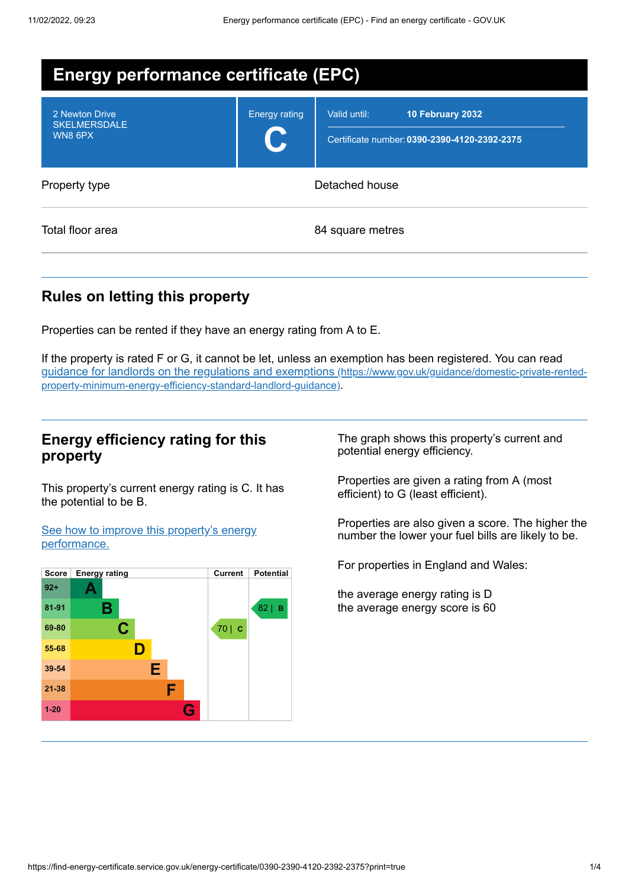| <b>Energy performance certificate (EPC)</b>      |                      |                                                                                  |
|--------------------------------------------------|----------------------|----------------------------------------------------------------------------------|
| 2 Newton Drive<br><b>SKELMERSDALE</b><br>WN8 6PX | <b>Energy rating</b> | Valid until:<br>10 February 2032<br>Certificate number: 0390-2390-4120-2392-2375 |
| Property type                                    | Detached house       |                                                                                  |
| Total floor area                                 | 84 square metres     |                                                                                  |

# **Rules on letting this property**

Properties can be rented if they have an energy rating from A to E.

If the property is rated F or G, it cannot be let, unless an exemption has been registered. You can read guidance for landlords on the regulations and exemptions (https://www.gov.uk/guidance/domestic-private-rented[property-minimum-energy-efficiency-standard-landlord-guidance\)](https://www.gov.uk/guidance/domestic-private-rented-property-minimum-energy-efficiency-standard-landlord-guidance).

## **Energy efficiency rating for this property**

This property's current energy rating is C. It has the potential to be B.

See how to improve this property's energy [performance.](#page-2-0)



The graph shows this property's current and potential energy efficiency.

Properties are given a rating from A (most efficient) to G (least efficient).

Properties are also given a score. The higher the number the lower your fuel bills are likely to be.

For properties in England and Wales:

the average energy rating is D the average energy score is 60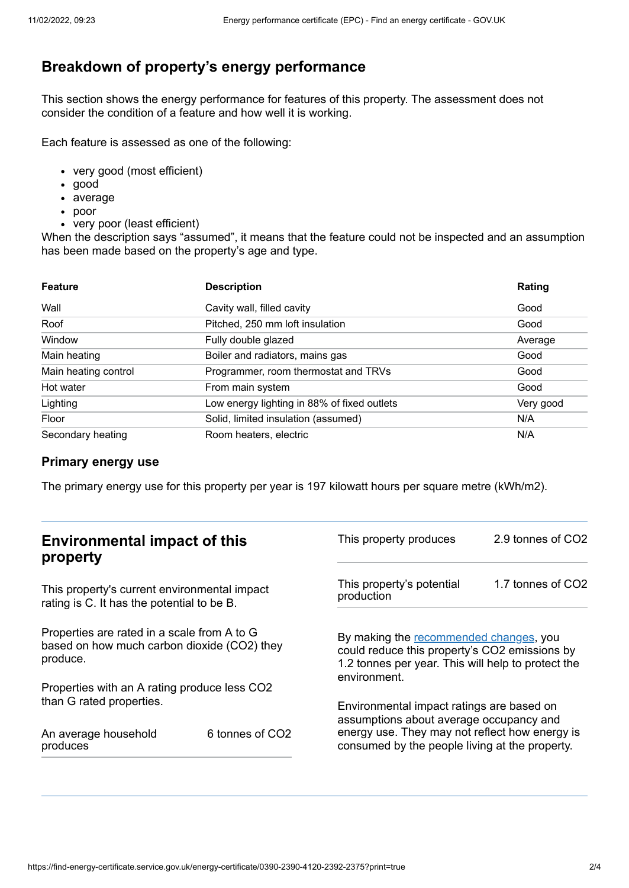# **Breakdown of property's energy performance**

This section shows the energy performance for features of this property. The assessment does not consider the condition of a feature and how well it is working.

Each feature is assessed as one of the following:

- very good (most efficient)
- good
- average
- poor
- very poor (least efficient)

When the description says "assumed", it means that the feature could not be inspected and an assumption has been made based on the property's age and type.

| <b>Feature</b>       | <b>Description</b>                          | Rating    |
|----------------------|---------------------------------------------|-----------|
| Wall                 | Cavity wall, filled cavity                  | Good      |
| Roof                 | Pitched, 250 mm loft insulation             | Good      |
| Window               | Fully double glazed                         | Average   |
| Main heating         | Boiler and radiators, mains gas             | Good      |
| Main heating control | Programmer, room thermostat and TRVs        | Good      |
| Hot water            | From main system                            | Good      |
| Lighting             | Low energy lighting in 88% of fixed outlets | Very good |
| Floor                | Solid, limited insulation (assumed)         | N/A       |
| Secondary heating    | Room heaters, electric                      | N/A       |

#### **Primary energy use**

The primary energy use for this property per year is 197 kilowatt hours per square metre (kWh/m2).

| <b>Environmental impact of this</b><br>property                                                        |                             | This property produces                                                                                                                                        | 2.9 tonnes of CO2 |
|--------------------------------------------------------------------------------------------------------|-----------------------------|---------------------------------------------------------------------------------------------------------------------------------------------------------------|-------------------|
| This property's current environmental impact<br>rating is C. It has the potential to be B.             |                             | This property's potential<br>production                                                                                                                       | 1.7 tonnes of CO2 |
| Properties are rated in a scale from A to G<br>based on how much carbon dioxide (CO2) they<br>produce. |                             | By making the recommended changes, you<br>could reduce this property's CO2 emissions by<br>1.2 tonnes per year. This will help to protect the<br>environment. |                   |
| Properties with an A rating produce less CO2                                                           |                             |                                                                                                                                                               |                   |
| than G rated properties.                                                                               |                             | Environmental impact ratings are based on<br>assumptions about average occupancy and                                                                          |                   |
| An average household<br>produces                                                                       | 6 tonnes of CO <sub>2</sub> | energy use. They may not reflect how energy is<br>consumed by the people living at the property.                                                              |                   |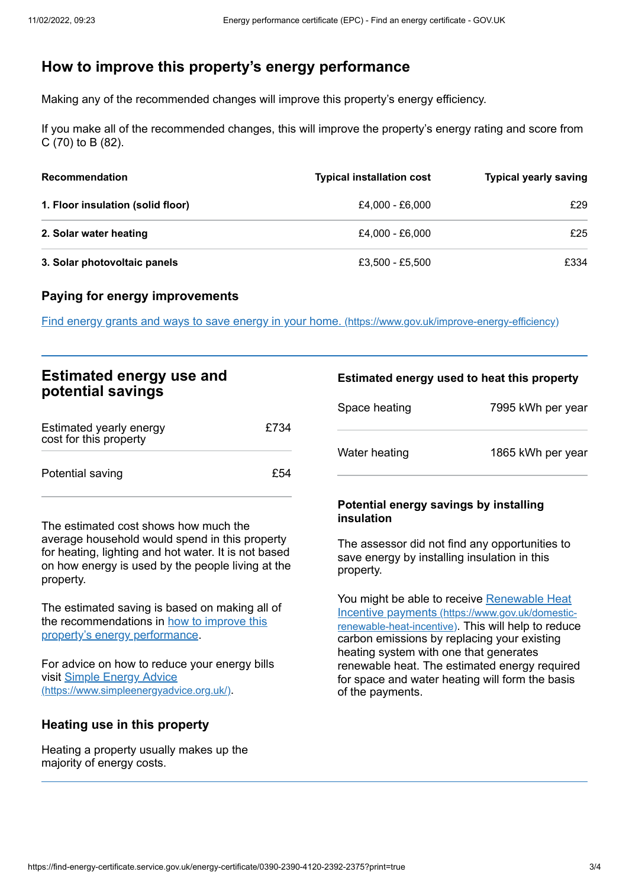# <span id="page-2-0"></span>**How to improve this property's energy performance**

Making any of the recommended changes will improve this property's energy efficiency.

If you make all of the recommended changes, this will improve the property's energy rating and score from C (70) to B (82).

| <b>Recommendation</b>             | <b>Typical installation cost</b> | <b>Typical yearly saving</b> |
|-----------------------------------|----------------------------------|------------------------------|
| 1. Floor insulation (solid floor) | £4.000 - £6.000                  | £29                          |
| 2. Solar water heating            | £4.000 - £6.000                  | £25                          |
| 3. Solar photovoltaic panels      | £3,500 - £5,500                  | £334                         |

#### **Paying for energy improvements**

Find energy grants and ways to save energy in your home. [\(https://www.gov.uk/improve-energy-efficiency\)](https://www.gov.uk/improve-energy-efficiency)

| <b>Estimated energy use and</b> |  |
|---------------------------------|--|
| potential savings               |  |

| Estimated yearly energy<br>cost for this property | £734 |
|---------------------------------------------------|------|
| Potential saving                                  | £54  |

The estimated cost shows how much the average household would spend in this property for heating, lighting and hot water. It is not based on how energy is used by the people living at the property.

The estimated saving is based on making all of the [recommendations](#page-2-0) in how to improve this property's energy performance.

For advice on how to reduce your energy bills visit Simple Energy Advice [\(https://www.simpleenergyadvice.org.uk/\)](https://www.simpleenergyadvice.org.uk/).

### **Heating use in this property**

Heating a property usually makes up the majority of energy costs.

#### **Estimated energy used to heat this property**

| Space heating | 7995 kWh per year |
|---------------|-------------------|
| Water heating | 1865 kWh per year |

#### **Potential energy savings by installing insulation**

The assessor did not find any opportunities to save energy by installing insulation in this property.

You might be able to receive Renewable Heat Incentive payments [\(https://www.gov.uk/domestic](https://www.gov.uk/domestic-renewable-heat-incentive)renewable-heat-incentive). This will help to reduce carbon emissions by replacing your existing heating system with one that generates renewable heat. The estimated energy required for space and water heating will form the basis of the payments.